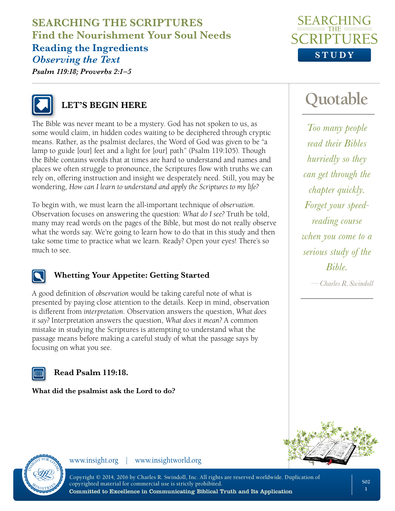## **SEARCHING THE SCRIPTURES Find the Nourishment Your Soul Needs Reading the Ingredients** *Observing the Text*



*Psalm 119:18; Proverbs 2:1–5*



# **LET'S BEGIN HERE**

The Bible was never meant to be a mystery. God has not spoken to us, as some would claim, in hidden codes waiting to be deciphered through cryptic means. Rather, as the psalmist declares, the Word of God was given to be "a lamp to guide [our] feet and a light for [our] path" (Psalm 119:105). Though the Bible contains words that at times are hard to understand and names and places we often struggle to pronounce, the Scriptures flow with truths we can rely on, offering instruction and insight we desperately need. Still, you may be wondering, *How can I learn to understand and apply the Scriptures to my life?*

To begin with, we must learn the all-important technique of *observation*. Observation focuses on answering the question: *What do I see?* Truth be told, many may read words on the pages of the Bible, but most do not really observe what the words say. We're going to learn how to do that in this study and then take some time to practice what we learn. Ready? Open your eyes! There's so much to see.



### **Whetting Your Appetite: Getting Started**

A good definition of *observation* would be taking careful note of what is presented by paying close attention to the details. Keep in mind, observation is different from *interpretation*. Observation answers the question, *What does it say?* Interpretation answers the question, *What does it mean?* A common mistake in studying the Scriptures is attempting to understand what the passage means before making a careful study of what the passage says by focusing on what you see.

### **Read Psalm 119:18.**

**What did the psalmist ask the Lord to do?**



*Too many people read their Bibles hurriedly so they can get through the chapter quickly. Forget your speedreading course when you come to a serious study of the Bible.*

*—Charles R. Swindoll*





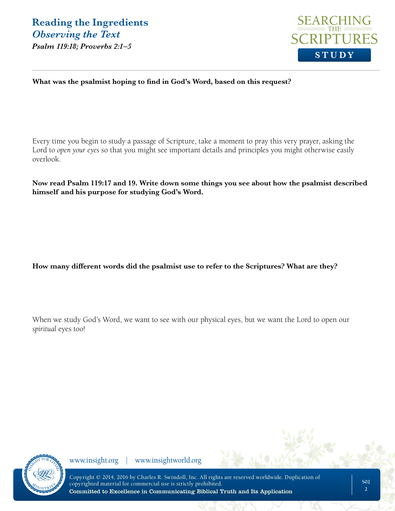

#### **What was the psalmist hoping to find in God's Word, based on this request?**

Every time you begin to study a passage of Scripture, take a moment to pray this very prayer, asking the Lord to *open your eyes* so that you might see important details and principles you might otherwise easily overlook.

**Now read Psalm 119:17 and 19. Write down some things you see about how the psalmist described himself and his purpose for studying God's Word.**

**How many different words did the psalmist use to refer to the Scriptures? What are they?**

When we study God's Word, we want to see with our physical eyes, but we want the Lord to open our *spiritual* eyes too!

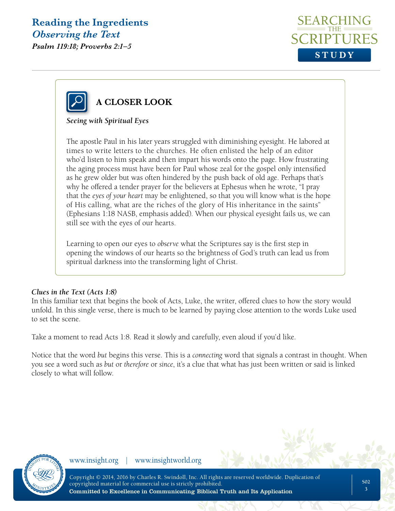*Psalm 119:18; Proverbs 2:1–5*





### *Seeing with Spiritual Eyes*

The apostle Paul in his later years struggled with diminishing eyesight. He labored at times to write letters to the churches. He often enlisted the help of an editor who'd listen to him speak and then impart his words onto the page. How frustrating the aging process must have been for Paul whose zeal for the gospel only intensified as he grew older but was often hindered by the push back of old age. Perhaps that's why he offered a tender prayer for the believers at Ephesus when he wrote, "I pray that the *eyes of your heart* may be enlightened, so that you will know what is the hope of His calling, what are the riches of the glory of His inheritance in the saints" (Ephesians 1:18 NASB, emphasis added). When our physical eyesight fails us, we can still see with the eyes of our hearts.

Learning to open our eyes to *observe* what the Scriptures say is the first step in opening the windows of our hearts so the brightness of God's truth can lead us from spiritual darkness into the transforming light of Christ.

#### *Clues in the Text (Acts 1:8)*

In this familiar text that begins the book of Acts, Luke, the writer, offered clues to how the story would unfold. In this single verse, there is much to be learned by paying close attention to the words Luke used to set the scene.

Take a moment to read Acts 1:8. Read it slowly and carefully, even aloud if you'd like.

Notice that the word *but* begins this verse. This is a *connecting* word that signals a contrast in thought. When you see a word such as *but* or *therefore* or *since*, it's a clue that what has just been written or said is linked closely to what will follow.

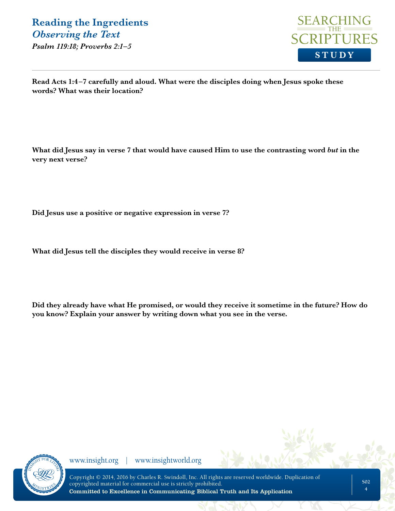*Psalm 119:18; Proverbs 2:1–5*



**Read Acts 1:4–7 carefully and aloud. What were the disciples doing when Jesus spoke these words? What was their location?**

What did Jesus say in verse 7 that would have caused Him to use the contrasting word *but* in the **very next verse?**

**Did Jesus use a positive or negative expression in verse 7?**

**What did Jesus tell the disciples they would receive in verse 8?** 

**Did they already have what He promised, or would they receive it sometime in the future? How do you know? Explain your answer by writing down what you see in the verse.** 

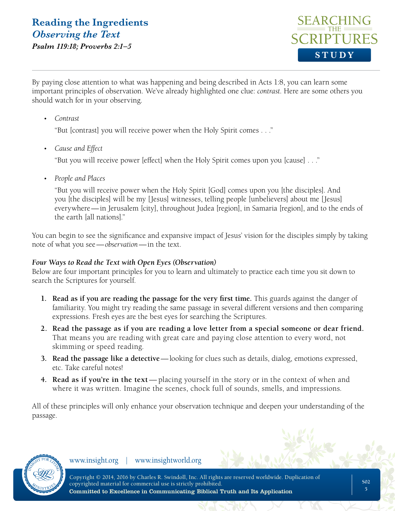*Psalm 119:18; Proverbs 2:1–5*



By paying close attention to what was happening and being described in Acts 1:8, you can learn some important principles of observation. We've already highlighted one clue: *contrast*. Here are some others you should watch for in your observing.

• *Contrast*

"But [contrast] you will receive power when the Holy Spirit comes . . ."

• *Cause and Effect*

"But you will receive power [effect] when the Holy Spirit comes upon you [cause] . . ."

• *People and Places*

"But you will receive power when the Holy Spirit [God] comes upon you [the disciples]. And you [the disciples] will be my [Jesus] witnesses, telling people [unbelievers] about me [Jesus] everywhere—in Jerusalem [city], throughout Judea [region], in Samaria [region], and to the ends of the earth [all nations]."

You can begin to see the significance and expansive impact of Jesus' vision for the disciples simply by taking note of what you see—*observation*—in the text.

### *Four Ways to Read the Text with Open Eyes (Observation)*

Below are four important principles for you to learn and ultimately to practice each time you sit down to search the Scriptures for yourself.

- **1. Read as if you are reading the passage for the very first time.** This guards against the danger of familiarity. You might try reading the same passage in several different versions and then comparing expressions. Fresh eyes are the best eyes for searching the Scriptures.
- **2. Read the passage as if you are reading a love letter from a special someone or dear friend.**  That means you are reading with great care and paying close attention to every word, not skimming or speed reading*.*
- **3. Read the passage like a detective**—looking for clues such as details, dialog, emotions expressed, etc. Take careful notes!
- **4. Read as if you're in the text** placing yourself in the story or in the context of when and where it was written. Imagine the scenes, chock full of sounds, smells, and impressions*.*

All of these principles will only enhance your observation technique and deepen your understanding of the passage.

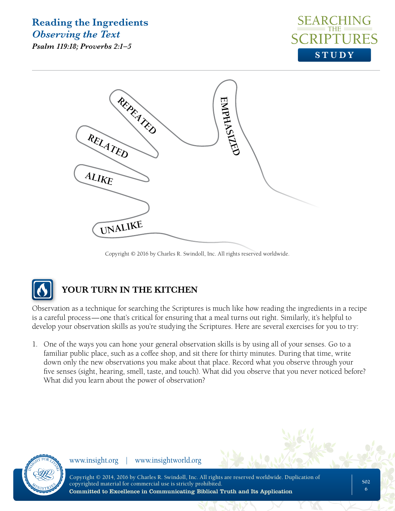*Psalm 119:18; Proverbs 2:1–5*





Copyright © 2016 by Charles R. Swindoll, Inc. All rights reserved worldwide.



# **YOUR TURN IN THE KITCHEN**

Observation as a technique for searching the Scriptures is much like how reading the ingredients in a recipe is a careful process—one that's critical for ensuring that a meal turns out right. Similarly, it's helpful to develop your observation skills as you're studying the Scriptures. Here are several exercises for you to try:

1. One of the ways you can hone your general observation skills is by using all of your senses. Go to a familiar public place, such as a coffee shop, and sit there for thirty minutes. During that time, write down only the new observations you make about that place. Record what you observe through your five senses (sight, hearing, smell, taste, and touch). What did you observe that you never noticed before? What did you learn about the power of observation?

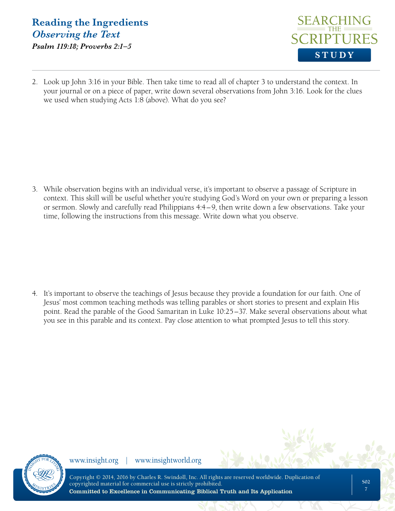## **Reading the Ingredients** *Observing the Text Psalm 119:18; Proverbs 2:1–5*



2. Look up John 3:16 in your Bible. Then take time to read all of chapter 3 to understand the context. In your journal or on a piece of paper, write down several observations from John 3:16. Look for the clues we used when studying Acts 1:8 (above). What do you see?

3. While observation begins with an individual verse, it's important to observe a passage of Scripture in context. This skill will be useful whether you're studying God's Word on your own or preparing a lesson or sermon. Slowly and carefully read Philippians 4:4–9, then write down a few observations. Take your time, following the instructions from this message. Write down what you observe.

4. It's important to observe the teachings of Jesus because they provide a foundation for our faith. One of Jesus' most common teaching methods was telling parables or short stories to present and explain His point. Read the parable of the Good Samaritan in Luke 10:25–37. Make several observations about what you see in this parable and its context. Pay close attention to what prompted Jesus to tell this story.

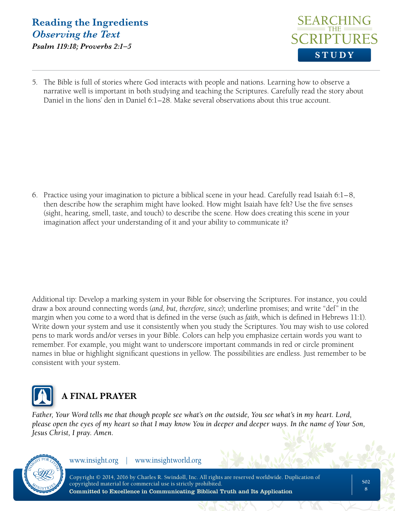## **Reading the Ingredients** *Observing the Text Psalm 119:18; Proverbs 2:1–5*



5. The Bible is full of stories where God interacts with people and nations. Learning how to observe a narrative well is important in both studying and teaching the Scriptures. Carefully read the story about Daniel in the lions' den in Daniel 6:1–28. Make several observations about this true account.

6. Practice using your imagination to picture a biblical scene in your head. Carefully read Isaiah 6:1–8, then describe how the seraphim might have looked. How might Isaiah have felt? Use the five senses (sight, hearing, smell, taste, and touch) to describe the scene. How does creating this scene in your imagination affect your understanding of it and your ability to communicate it?

Additional tip: Develop a marking system in your Bible for observing the Scriptures. For instance, you could draw a box around connecting words (*and, but, therefore, since*); underline promises; and write "def" in the margin when you come to a word that is defined in the verse (such as *faith*, which is defined in Hebrews 11:1). Write down your system and use it consistently when you study the Scriptures. You may wish to use colored pens to mark words and/or verses in your Bible. Colors can help you emphasize certain words you want to remember. For example, you might want to underscore important commands in red or circle prominent names in blue or highlight significant questions in yellow. The possibilities are endless. Just remember to be consistent with your system.



# **A FINAL PRAYER**

*Father, Your Word tells me that though people see what's on the outside, You see what's in my heart. Lord, please open the eyes of my heart so that I may know You in deeper and deeper ways. In the name of Your Son, Jesus Christ, I pray. Amen.*